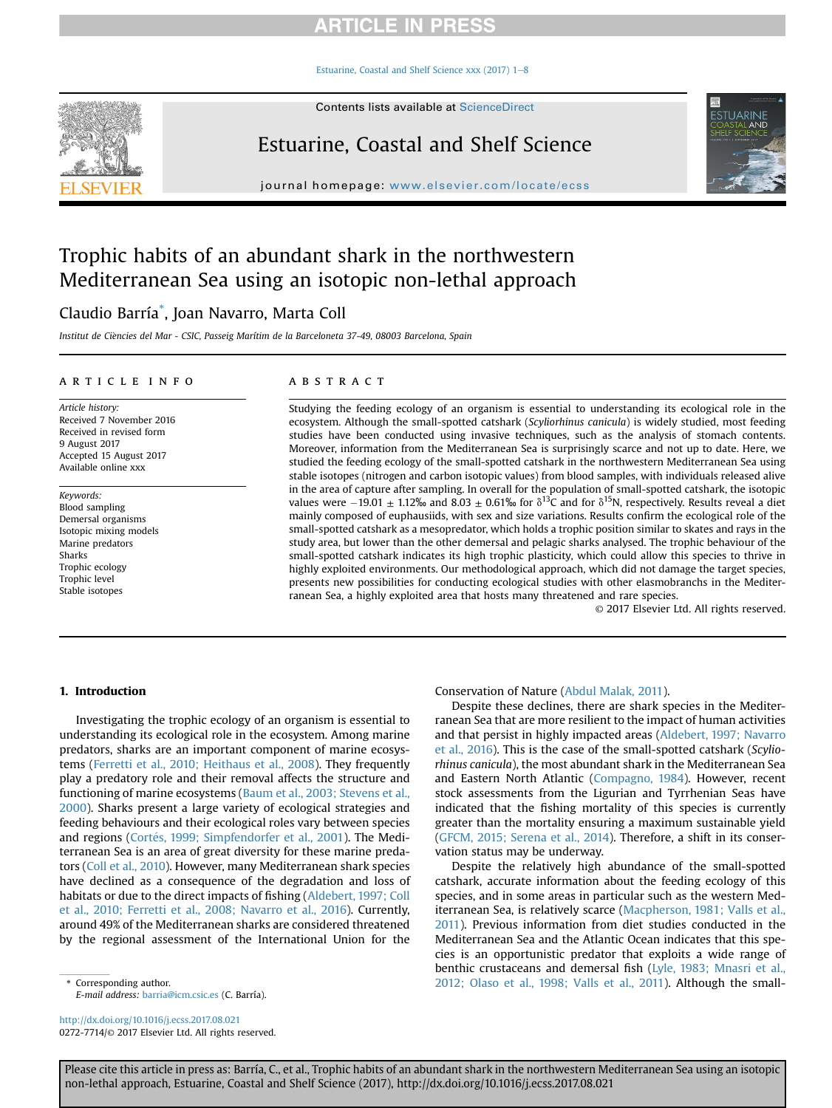[Estuarine, Coastal and Shelf Science xxx \(2017\) 1](http://dx.doi.org/10.1016/j.ecss.2017.08.021)-[8](http://dx.doi.org/10.1016/j.ecss.2017.08.021)



Contents lists available at ScienceDirect

# Estuarine, Coastal and Shelf Science

journal homepage: [www.elsevier.com/locate/ecss](http://www.elsevier.com/locate/ecss)



# Trophic habits of an abundant shark in the northwestern Mediterranean Sea using an isotopic non-lethal approach

## Claudio Barría\* , Joan Navarro, Marta Coll

Institut de Ciencies del Mar - CSIC, Passeig Marítim de la Barceloneta 37-49, 08003 Barcelona, Spain

## article info

Article history: Received 7 November 2016 Received in revised form 9 August 2017 Accepted 15 August 2017 Available online xxx

Keywords: Blood sampling Demersal organisms Isotopic mixing models Marine predators Sharks Trophic ecology Trophic level Stable isotopes

## **ABSTRACT**

Studying the feeding ecology of an organism is essential to understanding its ecological role in the ecosystem. Although the small-spotted catshark (Scyliorhinus canicula) is widely studied, most feeding studies have been conducted using invasive techniques, such as the analysis of stomach contents. Moreover, information from the Mediterranean Sea is surprisingly scarce and not up to date. Here, we studied the feeding ecology of the small-spotted catshark in the northwestern Mediterranean Sea using stable isotopes (nitrogen and carbon isotopic values) from blood samples, with individuals released alive in the area of capture after sampling. In overall for the population of small-spotted catshark, the isotopic values were -19.01  $\pm$  1.12‰ and 8.03  $\pm$  0.61‰ for  $\delta^{13}$ C and for  $\delta^{15}$ N, respectively. Results reveal a diet mainly composed of euphausiids, with sex and size variations. Results confirm the ecological role of the small-spotted catshark as a mesopredator, which holds a trophic position similar to skates and rays in the study area, but lower than the other demersal and pelagic sharks analysed. The trophic behaviour of the small-spotted catshark indicates its high trophic plasticity, which could allow this species to thrive in highly exploited environments. Our methodological approach, which did not damage the target species, presents new possibilities for conducting ecological studies with other elasmobranchs in the Mediterranean Sea, a highly exploited area that hosts many threatened and rare species.

© 2017 Elsevier Ltd. All rights reserved.

## 1. Introduction

Investigating the trophic ecology of an organism is essential to understanding its ecological role in the ecosystem. Among marine predators, sharks are an important component of marine ecosystems [\(Ferretti et al., 2010; Heithaus et al., 2008](#page-6-0)). They frequently play a predatory role and their removal affects the structure and functioning of marine ecosystems ([Baum et al., 2003; Stevens et al.,](#page-6-0) [2000](#page-6-0)). Sharks present a large variety of ecological strategies and feeding behaviours and their ecological roles vary between species and regions [\(Cort](#page-6-0)é[s, 1999; Simpfendorfer et al., 2001](#page-6-0)). The Mediterranean Sea is an area of great diversity for these marine predators [\(Coll et al., 2010](#page-6-0)). However, many Mediterranean shark species have declined as a consequence of the degradation and loss of habitats or due to the direct impacts of fishing [\(Aldebert, 1997; Coll](#page-6-0) [et al., 2010; Ferretti et al., 2008; Navarro et al., 2016](#page-6-0)). Currently, around 49% of the Mediterranean sharks are considered threatened by the regional assessment of the International Union for the

E-mail address: [barria@icm.csic.es](mailto:barria@icm.csic.es) (C. Barría).

<http://dx.doi.org/10.1016/j.ecss.2017.08.021> 0272-7714/© 2017 Elsevier Ltd. All rights reserved. Conservation of Nature ([Abdul Malak, 2011\)](#page-6-0).

Despite these declines, there are shark species in the Mediterranean Sea that are more resilient to the impact of human activities and that persist in highly impacted areas ([Aldebert, 1997; Navarro](#page-6-0) [et al., 2016\)](#page-6-0). This is the case of the small-spotted catshark (Scyliorhinus canicula), the most abundant shark in the Mediterranean Sea and Eastern North Atlantic [\(Compagno, 1984\)](#page-6-0). However, recent stock assessments from the Ligurian and Tyrrhenian Seas have indicated that the fishing mortality of this species is currently greater than the mortality ensuring a maximum sustainable yield ([GFCM, 2015; Serena et al., 2014](#page-6-0)). Therefore, a shift in its conservation status may be underway.

Despite the relatively high abundance of the small-spotted catshark, accurate information about the feeding ecology of this species, and in some areas in particular such as the western Mediterranean Sea, is relatively scarce [\(Macpherson, 1981; Valls et al.,](#page-6-0) [2011](#page-6-0)). Previous information from diet studies conducted in the Mediterranean Sea and the Atlantic Ocean indicates that this species is an opportunistic predator that exploits a wide range of benthic crustaceans and demersal fish [\(Lyle, 1983; Mnasri et al.,](#page-6-0) \* Corresponding author. [2012; Olaso et al., 1998; Valls et al., 2011\)](#page-6-0). Although the small-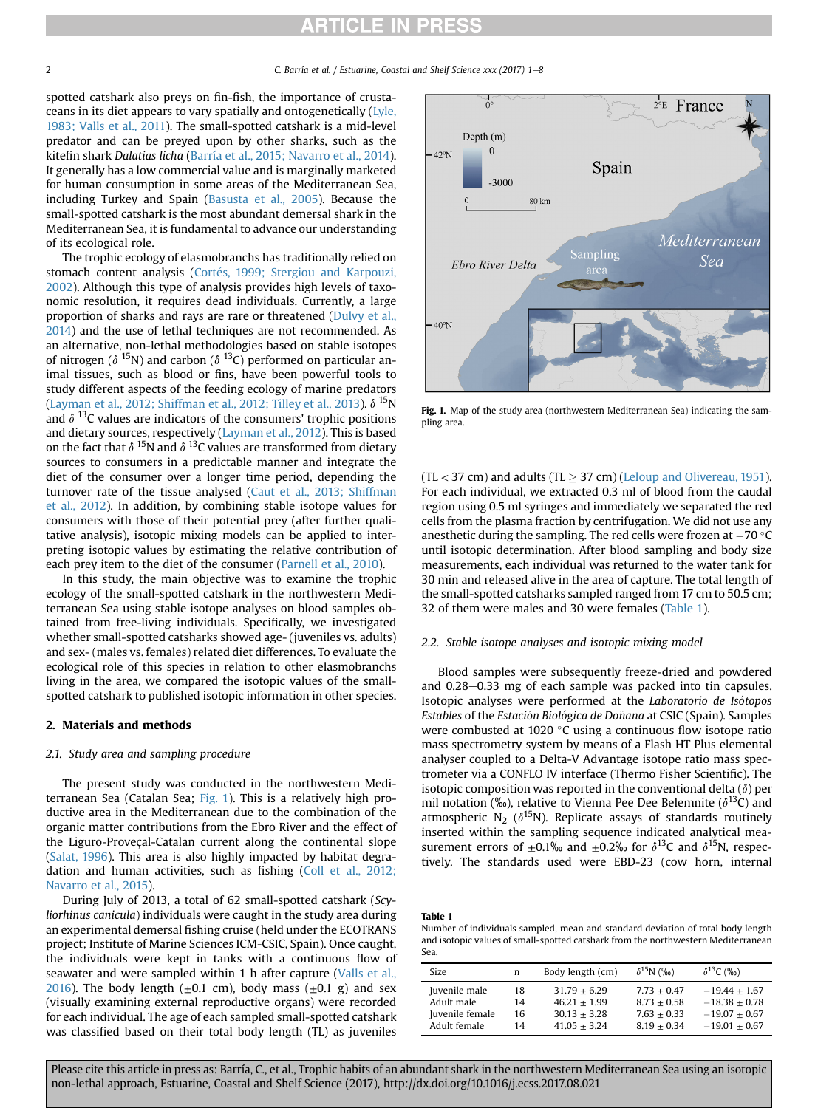<span id="page-1-0"></span>spotted catshark also preys on fin-fish, the importance of crustaceans in its diet appears to vary spatially and ontogenetically [\(Lyle,](#page-6-0) [1983; Valls et al., 2011\)](#page-6-0). The small-spotted catshark is a mid-level predator and can be preyed upon by other sharks, such as the kitefin shark Dalatias licha ([Barría et al., 2015; Navarro et al., 2014\)](#page-6-0). It generally has a low commercial value and is marginally marketed for human consumption in some areas of the Mediterranean Sea, including Turkey and Spain [\(Basusta et al., 2005\)](#page-6-0). Because the small-spotted catshark is the most abundant demersal shark in the Mediterranean Sea, it is fundamental to advance our understanding of its ecological role.

The trophic ecology of elasmobranchs has traditionally relied on stomach content analysis (Cortés, 1999; Stergiou and Karpouzi, [2002](#page-6-0)). Although this type of analysis provides high levels of taxonomic resolution, it requires dead individuals. Currently, a large proportion of sharks and rays are rare or threatened ([Dulvy et al.,](#page-6-0) [2014](#page-6-0)) and the use of lethal techniques are not recommended. As an alternative, non-lethal methodologies based on stable isotopes of nitrogen ( $\delta$ <sup>15</sup>N) and carbon ( $\delta$ <sup>13</sup>C) performed on particular animal tissues, such as blood or fins, have been powerful tools to study different aspects of the feeding ecology of marine predators ([Layman et al., 2012; Shiffman et al., 2012; Tilley et al., 2013\)](#page-6-0).  $\delta$  <sup>15</sup>N and  $\delta$  <sup>13</sup>C values are indicators of the consumers' trophic positions and dietary sources, respectively [\(Layman et al., 2012](#page-6-0)). This is based on the fact that  $\delta$  <sup>15</sup>N and  $\delta$  <sup>13</sup>C values are transformed from dietary sources to consumers in a predictable manner and integrate the diet of the consumer over a longer time period, depending the turnover rate of the tissue analysed ([Caut et al., 2013; Shiffman](#page-6-0) [et al., 2012](#page-6-0)). In addition, by combining stable isotope values for consumers with those of their potential prey (after further qualitative analysis), isotopic mixing models can be applied to interpreting isotopic values by estimating the relative contribution of each prey item to the diet of the consumer [\(Parnell et al., 2010\)](#page-6-0).

In this study, the main objective was to examine the trophic ecology of the small-spotted catshark in the northwestern Mediterranean Sea using stable isotope analyses on blood samples obtained from free-living individuals. Specifically, we investigated whether small-spotted catsharks showed age- (juveniles vs. adults) and sex- (males vs. females) related diet differences. To evaluate the ecological role of this species in relation to other elasmobranchs living in the area, we compared the isotopic values of the smallspotted catshark to published isotopic information in other species.

## 2. Materials and methods

## 2.1. Study area and sampling procedure

The present study was conducted in the northwestern Mediterranean Sea (Catalan Sea; Fig. 1). This is a relatively high productive area in the Mediterranean due to the combination of the organic matter contributions from the Ebro River and the effect of the Liguro-Proveçal-Catalan current along the continental slope ([Salat, 1996](#page-7-0)). This area is also highly impacted by habitat degradation and human activities, such as fishing ([Coll et al., 2012;](#page-6-0) [Navarro et al., 2015](#page-6-0)).

During July of 2013, a total of 62 small-spotted catshark (Scyliorhinus canicula) individuals were caught in the study area during an experimental demersal fishing cruise (held under the ECOTRANS project; Institute of Marine Sciences ICM-CSIC, Spain). Once caught, the individuals were kept in tanks with a continuous flow of seawater and were sampled within 1 h after capture [\(Valls et al.,](#page-7-0) [2016](#page-7-0)). The body length  $(\pm 0.1 \text{ cm})$ , body mass  $(\pm 0.1 \text{ g})$  and sex (visually examining external reproductive organs) were recorded for each individual. The age of each sampled small-spotted catshark was classified based on their total body length (TL) as juveniles



Fig. 1. Map of the study area (northwestern Mediterranean Sea) indicating the sampling area.

 $(TL < 37$  cm) and adults  $(TL > 37$  cm) ([Leloup and Olivereau, 1951\)](#page-6-0). For each individual, we extracted 0.3 ml of blood from the caudal region using 0.5 ml syringes and immediately we separated the red cells from the plasma fraction by centrifugation. We did not use any anesthetic during the sampling. The red cells were frozen at  $-70$  °C until isotopic determination. After blood sampling and body size measurements, each individual was returned to the water tank for 30 min and released alive in the area of capture. The total length of the small-spotted catsharks sampled ranged from 17 cm to 50.5 cm; 32 of them were males and 30 were females (Table 1).

## 2.2. Stable isotope analyses and isotopic mixing model

Blood samples were subsequently freeze-dried and powdered and  $0.28-0.33$  mg of each sample was packed into tin capsules. Isotopic analyses were performed at the Laboratorio de Isótopos Estables of the Estación Biológica de Doñana at CSIC (Spain). Samples were combusted at 1020 $\degree$ C using a continuous flow isotope ratio mass spectrometry system by means of a Flash HT Plus elemental analyser coupled to a Delta-V Advantage isotope ratio mass spectrometer via a CONFLO IV interface (Thermo Fisher Scientific). The isotopic composition was reported in the conventional delta  $(\delta)$  per mil notation (‰), relative to Vienna Pee Dee Belemnite ( $\delta^{13}C$ ) and atmospheric N<sub>2</sub> ( $\delta^{15}$ N). Replicate assays of standards routinely inserted within the sampling sequence indicated analytical measurement errors of  $\pm 0.1\%$  and  $\pm 0.2\%$  for  $\delta^{13}C$  and  $\delta^{15}N$ , respectively. The standards used were EBD-23 (cow horn, internal

| -таріс т                                                                          |
|-----------------------------------------------------------------------------------|
| Number of individuals sampled, mean and standard deviation of total body length   |
| and isotopic values of small-spotted catshark from the northwestern Mediterranean |
| Sea.                                                                              |

| <b>Size</b>     | n  | Body length (cm) | $\delta^{15}N$ (%o) | $\delta^{13}C$ (%o) |
|-----------------|----|------------------|---------------------|---------------------|
| Juvenile male   | 18 | $31.79 + 6.29$   | $7.73 + 0.47$       | $-19.44 + 1.67$     |
| Adult male      | 14 | $46.21 + 1.99$   | $8.73 + 0.58$       | $-18.38 + 0.78$     |
| Juvenile female | 16 | $30.13 + 3.28$   | $7.63 + 0.33$       | $-19.07 + 0.67$     |
| Adult female    | 14 | $41.05 + 3.24$   | $8.19 + 0.34$       | $-19.01 + 0.67$     |

Please cite this article in press as: Barría, C., et al., Trophic habits of an abundant shark in the northwestern Mediterranean Sea using an isotopic non-lethal approach, Estuarine, Coastal and Shelf Science (2017), http://dx.doi.org/10.1016/j.ecss.2017.08.021

Table 1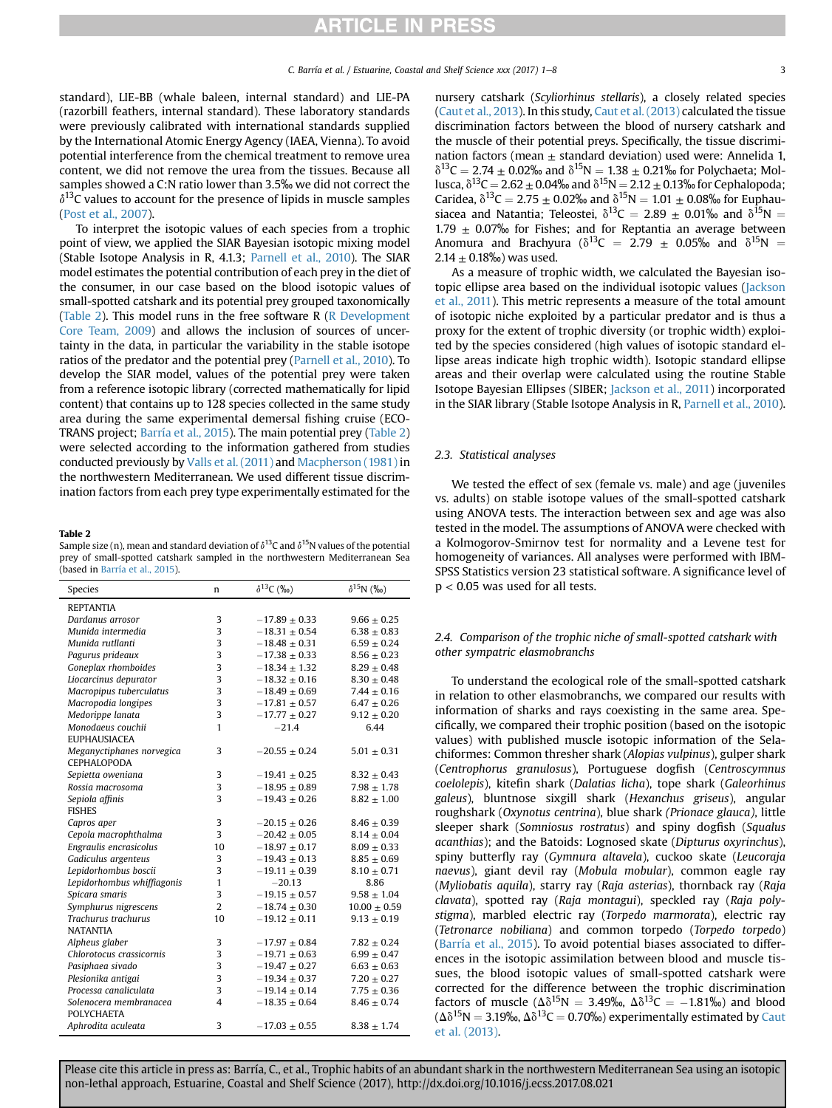standard), LIE-BB (whale baleen, internal standard) and LIE-PA (razorbill feathers, internal standard). These laboratory standards were previously calibrated with international standards supplied by the International Atomic Energy Agency (IAEA, Vienna). To avoid potential interference from the chemical treatment to remove urea content, we did not remove the urea from the tissues. Because all samples showed a C:N ratio lower than 3.5‰ we did not correct the  $\delta^{13}$ C values to account for the presence of lipids in muscle samples ([Post et al., 2007\)](#page-6-0).

To interpret the isotopic values of each species from a trophic point of view, we applied the SIAR Bayesian isotopic mixing model (Stable Isotope Analysis in R, 4.1.3; [Parnell et al., 2010](#page-6-0)). The SIAR model estimates the potential contribution of each prey in the diet of the consumer, in our case based on the blood isotopic values of small-spotted catshark and its potential prey grouped taxonomically (Table 2). This model runs in the free software R ( $\overline{R}$  Development [Core Team, 2009](#page-6-0)) and allows the inclusion of sources of uncertainty in the data, in particular the variability in the stable isotope ratios of the predator and the potential prey ([Parnell et al., 2010\)](#page-6-0). To develop the SIAR model, values of the potential prey were taken from a reference isotopic library (corrected mathematically for lipid content) that contains up to 128 species collected in the same study area during the same experimental demersal fishing cruise (ECO-TRANS project; [Barría et al., 2015](#page-6-0)). The main potential prey (Table 2) were selected according to the information gathered from studies conducted previously by [Valls et al. \(2011\)](#page-7-0) and [Macpherson \(1981\)](#page-6-0) in the northwestern Mediterranean. We used different tissue discrimination factors from each prey type experimentally estimated for the

#### Table 2

Sample size (n), mean and standard deviation of  $\delta^{13}$ C and  $\delta^{15}$ N values of the potential prey of small-spotted catshark sampled in the northwestern Mediterranean Sea (based in [Barría et al., 2015](#page-6-0)).

| Species                    | n              | $\delta^{13}C$ (%o) | $\delta^{15}N$ (%o) |
|----------------------------|----------------|---------------------|---------------------|
| <b>REPTANTIA</b>           |                |                     |                     |
| Dardanus arrosor           | 3              | $-17.89 \pm 0.33$   | $9.66 \pm 0.25$     |
| Munida intermedia          | 3              | $-18.31 \pm 0.54$   | $6.38 \pm 0.83$     |
| Munida rutllanti           | 3              | $-18.48 \pm 0.31$   | $6.59 \pm 0.24$     |
| Pagurus prideaux           | 3              | $-17.38 \pm 0.33$   | $8.56 \pm 0.23$     |
| Goneplax rhomboides        | 3              | $-18.34 \pm 1.32$   | $8.29 \pm 0.48$     |
| Liocarcinus depurator      | 3              | $-18.32 \pm 0.16$   | $8.30 \pm 0.48$     |
| Macropipus tuberculatus    | 3              | $-18.49 \pm 0.69$   | $7.44 \pm 0.16$     |
| Macropodia longipes        | 3              | $-17.81 \pm 0.57$   | $6.47 \pm 0.26$     |
| Medorippe lanata           | 3              | $-17.77\pm0.27$     | $9.12 \pm 0.20$     |
| Monodaeus couchii          | $\mathbf{1}$   | $-21.4$             | 6.44                |
| <b>EUPHAUSIACEA</b>        |                |                     |                     |
| Meganyctiphanes norvegica  | 3              | $-20.55 \pm 0.24$   | $5.01 \pm 0.31$     |
| CEPHALOPODA                |                |                     |                     |
| Sepietta oweniana          | 3              | $-19.41 \pm 0.25$   | $8.32 \pm 0.43$     |
| Rossia macrosoma           | 3              | $-18.95 \pm 0.89$   | $7.98 \pm 1.78$     |
| Sepiola affinis            | 3              | $-19.43 \pm 0.26$   | $8.82 \pm 1.00$     |
| <b>FISHES</b>              |                |                     |                     |
| Capros aper                | 3              | $-20.15 \pm 0.26$   | $8.46 \pm 0.39$     |
| Cepola macrophthalma       | 3              | $-20.42 \pm 0.05$   | $8.14 \pm 0.04$     |
| Engraulis encrasicolus     | 10             | $-18.97 \pm 0.17$   | $8.09 \pm 0.33$     |
| Gadiculus argenteus        | 3              | $-19.43 \pm 0.13$   | $8.85\pm0.69$       |
| Lepidorhombus boscii       | 3              | $-19.11 \pm 0.39$   | $8.10 \pm 0.71$     |
| Lepidorhombus whiffiagonis | $\mathbf{1}$   | $-20.13$            | 8.86                |
| Spicara smaris             | 3              | $-19.15 \pm 0.57$   | $9.58 \pm 1.04$     |
| Symphurus nigrescens       | $\overline{2}$ | $-18.74 \pm 0.30$   | $10.00 \pm 0.59$    |
| Trachurus trachurus        | 10             | $-19.12 \pm 0.11$   | $9.13 \pm 0.19$     |
| <b>NATANTIA</b>            |                |                     |                     |
| Alpheus glaber             | 3              | $-17.97 \pm 0.84$   | $7.82 \pm 0.24$     |
| Chlorotocus crassicornis   | 3              | $-19.71 \pm 0.63$   | $6.99 \pm 0.47$     |
| Pasiphaea sivado           | 3              | $-19.47 \pm 0.27$   | $6.63 \pm 0.63$     |
| Plesionika antigai         | 3              | $-19.34 \pm 0.37$   | $7.20 \pm 0.27$     |
| Processa canaliculata      | 3              | $-19.14 \pm 0.14$   | $7.75 \pm 0.36$     |
| Solenocera membranacea     | 4              | $-18.35 \pm 0.64$   | $8.46 \pm 0.74$     |
| <b>POLYCHAETA</b>          |                |                     |                     |
| Aphrodita aculeata         | 3              | $-17.03 \pm 0.55$   | $8.38 \pm 1.74$     |

nursery catshark (Scyliorhinus stellaris), a closely related species [\(Caut et al., 2013](#page-6-0)). In this study, [Caut et al. \(2013\)](#page-6-0) calculated the tissue discrimination factors between the blood of nursery catshark and the muscle of their potential preys. Specifically, the tissue discrimination factors (mean  $\pm$  standard deviation) used were: Annelida 1,  $\delta^{13}C = 2.74 \pm 0.02\%$  and  $\delta^{15}N = 1.38 \pm 0.21\%$  for Polychaeta; Mollusca,  $\delta^{13}C = 2.62 \pm 0.04\%$  and  $\delta^{15}N = 2.12 \pm 0.13\%$  for Cephalopoda; Caridea,  $\delta^{13}C = 2.75 \pm 0.02\%$  and  $\delta^{15}N = 1.01 \pm 0.08\%$  for Euphausiacea and Natantia; Teleostei,  $\delta^{13}C = 2.89 \pm 0.01\%$  and  $\delta^{15}N =$ 1.79  $\pm$  0.07% for Fishes; and for Reptantia an average between Anomura and Brachyura ( $\delta^{13}C = 2.79 \pm 0.05\%$  and  $\delta^{15}N =$  $2.14 \pm 0.18\%$  was used.

As a measure of trophic width, we calculated the Bayesian isotopic ellipse area based on the individual isotopic values [\(Jackson](#page-6-0) [et al., 2011](#page-6-0)). This metric represents a measure of the total amount of isotopic niche exploited by a particular predator and is thus a proxy for the extent of trophic diversity (or trophic width) exploited by the species considered (high values of isotopic standard ellipse areas indicate high trophic width). Isotopic standard ellipse areas and their overlap were calculated using the routine Stable Isotope Bayesian Ellipses (SIBER; [Jackson et al., 2011\)](#page-6-0) incorporated in the SIAR library (Stable Isotope Analysis in R, [Parnell et al., 2010\)](#page-6-0).

## 2.3. Statistical analyses

We tested the effect of sex (female vs. male) and age (juveniles vs. adults) on stable isotope values of the small-spotted catshark using ANOVA tests. The interaction between sex and age was also tested in the model. The assumptions of ANOVA were checked with a Kolmogorov-Smirnov test for normality and a Levene test for homogeneity of variances. All analyses were performed with IBM-SPSS Statistics version 23 statistical software. A significance level of  $p < 0.05$  was used for all tests.

## 2.4. Comparison of the trophic niche of small-spotted catshark with other sympatric elasmobranchs

To understand the ecological role of the small-spotted catshark in relation to other elasmobranchs, we compared our results with information of sharks and rays coexisting in the same area. Specifically, we compared their trophic position (based on the isotopic values) with published muscle isotopic information of the Selachiformes: Common thresher shark (Alopias vulpinus), gulper shark (Centrophorus granulosus), Portuguese dogfish (Centroscymnus coelolepis), kitefin shark (Dalatias licha), tope shark (Galeorhinus galeus), bluntnose sixgill shark (Hexanchus griseus), angular roughshark (Oxynotus centrina), blue shark (Prionace glauca), little sleeper shark (Somniosus rostratus) and spiny dogfish (Squalus acanthias); and the Batoids: Lognosed skate (Dipturus oxyrinchus), spiny butterfly ray (Gymnura altavela), cuckoo skate (Leucoraja naevus), giant devil ray (Mobula mobular), common eagle ray (Myliobatis aquila), starry ray (Raja asterias), thornback ray (Raja clavata), spotted ray (Raja montagui), speckled ray (Raja polystigma), marbled electric ray (Torpedo marmorata), electric ray (Tetronarce nobiliana) and common torpedo (Torpedo torpedo) ([Barría et al., 2015\)](#page-6-0). To avoid potential biases associated to differences in the isotopic assimilation between blood and muscle tissues, the blood isotopic values of small-spotted catshark were corrected for the difference between the trophic discrimination factors of muscle ( $\Delta \delta^{15}N = 3.49\%$ ,  $\Delta \delta^{13}C = -1.81\%$ ) and blood  $(\Delta \delta^{15}N = 3.19\%$ ,  $\Delta \delta^{13}C = 0.70\%$ ) experimentally estimated by [Caut](#page-6-0) [et al. \(2013\).](#page-6-0)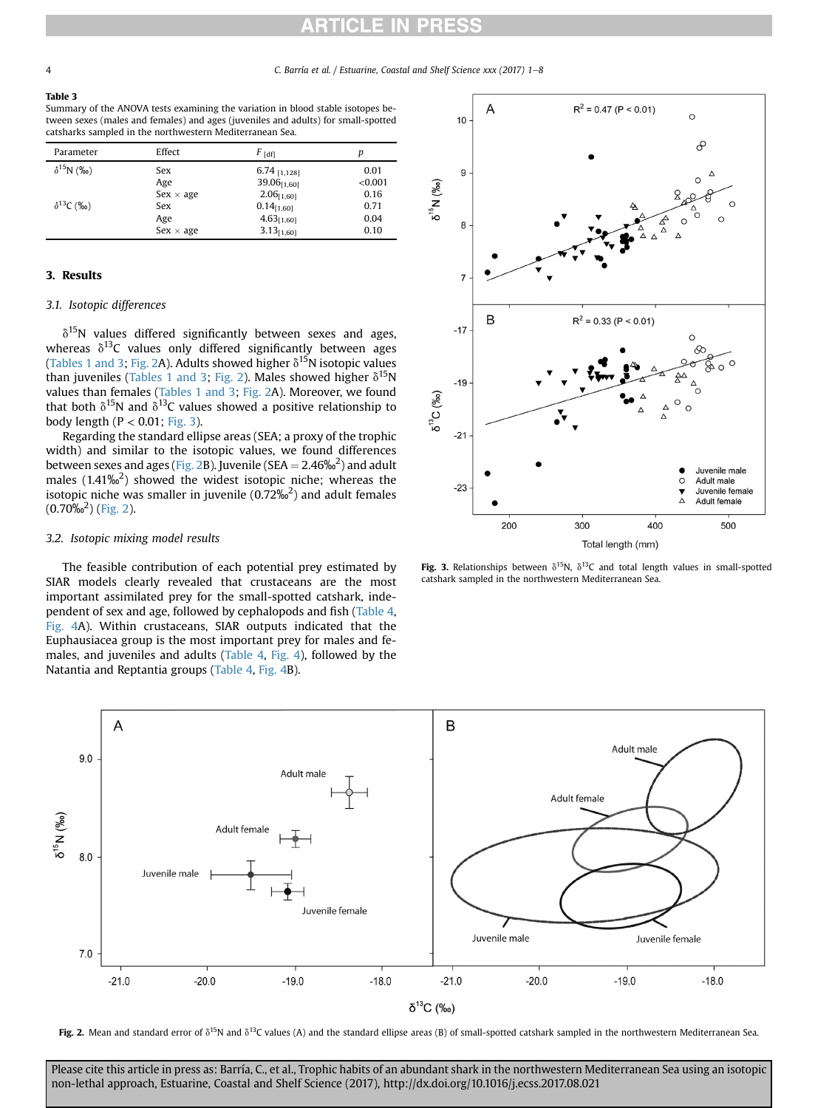#### Table 3

Summary of the ANOVA tests examining the variation in blood stable isotopes between sexes (males and females) and ages (juveniles and adults) for small-spotted catsharks sampled in the northwestern Mediterranean Sea.

| Parameter          | Effect           | $F_{\text{[df]}}$ |         |
|--------------------|------------------|-------------------|---------|
| $\delta^{15}N$ (%) | Sex              | 6.74 [1,128]      | 0.01    |
|                    | Age              | $39.06_{[1,60]}$  | < 0.001 |
|                    | $Sex \times age$ | $2.06_{[1,60]}$   | 0.16    |
| $\delta^{13}C$ (‰) | Sex              | $0.14_{[1,60]}$   | 0.71    |
|                    | Age              | $4.63_{[1,60]}$   | 0.04    |
|                    | $Sex \times age$ | $3.13_{[1,60]}$   | 0.10    |

## 3. Results

## 3.1. Isotopic differences

 $\delta^{15}$ N values differed significantly between sexes and ages, whereas  $\delta^{13}$ C values only differed significantly between ages ([Tables 1 and 3;](#page-1-0) Fig. 2A). Adults showed higher  $\delta^{15}N$  isotopic values than juveniles ([Tables 1 and 3](#page-1-0); Fig. 2). Males showed higher  $\delta^{15}N$ values than females ([Tables 1 and 3;](#page-1-0) Fig. 2A). Moreover, we found that both  $\delta^{15}N$  and  $\delta^{13}C$  values showed a positive relationship to body length ( $P < 0.01$ ; Fig. 3).

Regarding the standard ellipse areas (SEA; a proxy of the trophic width) and similar to the isotopic values, we found differences between sexes and ages (Fig. 2B). Juvenile (SEA =  $2.46\%$ <sup>2</sup>) and adult males  $(1.41\%)^2$  showed the widest isotopic niche; whereas the isotopic niche was smaller in juvenile (0.72‰ $^2$ ) and adult females  $(0.70\%^2)$  (Fig. 2).

### 3.2. Isotopic mixing model results

The feasible contribution of each potential prey estimated by SIAR models clearly revealed that crustaceans are the most important assimilated prey for the small-spotted catshark, independent of sex and age, followed by cephalopods and fish [\(Table 4,](#page-4-0) [Fig. 4A](#page-4-0)). Within crustaceans, SIAR outputs indicated that the Euphausiacea group is the most important prey for males and females, and juveniles and adults [\(Table 4,](#page-4-0) [Fig. 4\)](#page-4-0), followed by the Natantia and Reptantia groups ([Table 4,](#page-4-0) [Fig. 4](#page-4-0)B).



Fig. 3. Relationships between  $\delta^{15}N$ ,  $\delta^{13}C$  and total length values in small-spotted catshark sampled in the northwestern Mediterranean Sea.



Fig. 2. Mean and standard error of  $\delta^{15}N$  and  $\delta^{13}C$  values (A) and the standard ellipse areas (B) of small-spotted catshark sampled in the northwestern Mediterranean Sea.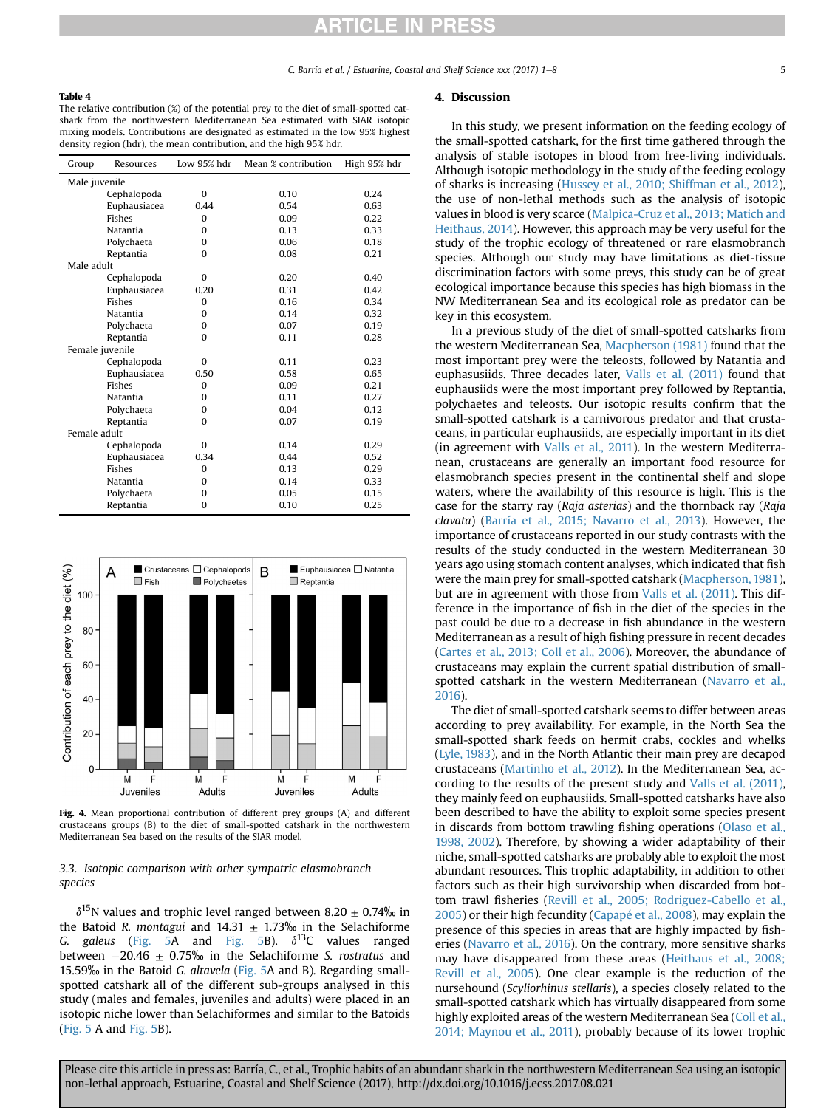## <span id="page-4-0"></span>Table 4

The relative contribution (%) of the potential prey to the diet of small-spotted catshark from the northwestern Mediterranean Sea estimated with SIAR isotopic mixing models. Contributions are designated as estimated in the low 95% highest density region (hdr), the mean contribution, and the high 95% hdr.

| Group      | Resources       | Low 95% hdr | Mean % contribution | High 95% hdr |  |
|------------|-----------------|-------------|---------------------|--------------|--|
|            | Male juvenile   |             |                     |              |  |
|            | Cephalopoda     | $\Omega$    | 0.10                | 0.24         |  |
|            | Euphausiacea    | 0.44        | 0.54                | 0.63         |  |
|            | <b>Fishes</b>   | $\Omega$    | 0.09                | 0.22         |  |
|            | Natantia        | $\Omega$    | 0.13                | 0.33         |  |
|            | Polychaeta      | $\Omega$    | 0.06                | 0.18         |  |
|            | Reptantia       | $\Omega$    | 0.08                | 0.21         |  |
| Male adult |                 |             |                     |              |  |
|            | Cephalopoda     | $\Omega$    | 0.20                | 0.40         |  |
|            | Euphausiacea    | 0.20        | 0.31                | 0.42         |  |
|            | Fishes          | $\Omega$    | 0.16                | 0.34         |  |
|            | Natantia        | $\Omega$    | 0.14                | 0.32         |  |
|            | Polychaeta      | $\Omega$    | 0.07                | 0.19         |  |
|            | Reptantia       | $\Omega$    | 0.11                | 0.28         |  |
|            | Female juvenile |             |                     |              |  |
|            | Cephalopoda     | $\Omega$    | 0.11                | 0.23         |  |
|            | Euphausiacea    | 0.50        | 0.58                | 0.65         |  |
|            | <b>Fishes</b>   | $\Omega$    | 0.09                | 0.21         |  |
|            | Natantia        | $\Omega$    | 0.11                | 0.27         |  |
|            | Polychaeta      | $\Omega$    | 0.04                | 0.12         |  |
|            | Reptantia       | $\Omega$    | 0.07                | 0.19         |  |
|            | Female adult    |             |                     |              |  |
|            | Cephalopoda     | $\Omega$    | 0.14                | 0.29         |  |
|            | Euphausiacea    | 0.34        | 0.44                | 0.52         |  |
|            | Fishes          | $\Omega$    | 0.13                | 0.29         |  |
|            | Natantia        | $\Omega$    | 0.14                | 0.33         |  |
|            | Polychaeta      | $\Omega$    | 0.05                | 0.15         |  |
|            | Reptantia       | $\Omega$    | 0.10                | 0.25         |  |



Fig. 4. Mean proportional contribution of different prey groups (A) and different crustaceans groups (B) to the diet of small-spotted catshark in the northwestern Mediterranean Sea based on the results of the SIAR model.

## 3.3. Isotopic comparison with other sympatric elasmobranch species

 $\delta^{15}$ N values and trophic level ranged between 8.20  $\pm$  0.74‰ in the Batoid R. montagui and 14.31  $\pm$  1.73% in the Selachiforme G. galeus [\(Fig. 5A](#page-5-0) and [Fig. 5](#page-5-0)B).  $\delta^{13}C$  values ranged between  $-20.46 \pm 0.75\%$  in the Selachiforme S. rostratus and 15.59‰ in the Batoid G. altavela ([Fig. 5](#page-5-0)A and B). Regarding smallspotted catshark all of the different sub-groups analysed in this study (males and females, juveniles and adults) were placed in an isotopic niche lower than Selachiformes and similar to the Batoids ([Fig. 5](#page-5-0) A and [Fig. 5B](#page-5-0)).

### 4. Discussion

In this study, we present information on the feeding ecology of the small-spotted catshark, for the first time gathered through the analysis of stable isotopes in blood from free-living individuals. Although isotopic methodology in the study of the feeding ecology of sharks is increasing [\(Hussey et al., 2010; Shiffman et al., 2012\)](#page-6-0), the use of non-lethal methods such as the analysis of isotopic values in blood is very scarce ([Malpica-Cruz et al., 2013; Matich and](#page-6-0) [Heithaus, 2014](#page-6-0)). However, this approach may be very useful for the study of the trophic ecology of threatened or rare elasmobranch species. Although our study may have limitations as diet-tissue discrimination factors with some preys, this study can be of great ecological importance because this species has high biomass in the NW Mediterranean Sea and its ecological role as predator can be key in this ecosystem.

In a previous study of the diet of small-spotted catsharks from the western Mediterranean Sea, [Macpherson \(1981\)](#page-6-0) found that the most important prey were the teleosts, followed by Natantia and euphasusiids. Three decades later, [Valls et al. \(2011\)](#page-7-0) found that euphausiids were the most important prey followed by Reptantia, polychaetes and teleosts. Our isotopic results confirm that the small-spotted catshark is a carnivorous predator and that crustaceans, in particular euphausiids, are especially important in its diet (in agreement with [Valls et al., 2011](#page-7-0)). In the western Mediterranean, crustaceans are generally an important food resource for elasmobranch species present in the continental shelf and slope waters, where the availability of this resource is high. This is the case for the starry ray (Raja asterias) and the thornback ray (Raja clavata) [\(Barría et al., 2015; Navarro et al., 2013\)](#page-6-0). However, the importance of crustaceans reported in our study contrasts with the results of the study conducted in the western Mediterranean 30 years ago using stomach content analyses, which indicated that fish were the main prey for small-spotted catshark [\(Macpherson, 1981\)](#page-6-0), but are in agreement with those from [Valls et al. \(2011\)](#page-7-0). This difference in the importance of fish in the diet of the species in the past could be due to a decrease in fish abundance in the western Mediterranean as a result of high fishing pressure in recent decades ([Cartes et al., 2013; Coll et al., 2006\)](#page-6-0). Moreover, the abundance of crustaceans may explain the current spatial distribution of smallspotted catshark in the western Mediterranean [\(Navarro et al.,](#page-6-0) [2016\)](#page-6-0).

The diet of small-spotted catshark seems to differ between areas according to prey availability. For example, in the North Sea the small-spotted shark feeds on hermit crabs, cockles and whelks ([Lyle, 1983\)](#page-6-0), and in the North Atlantic their main prey are decapod crustaceans [\(Martinho et al., 2012](#page-6-0)). In the Mediterranean Sea, according to the results of the present study and [Valls et al. \(2011\),](#page-7-0) they mainly feed on euphausiids. Small-spotted catsharks have also been described to have the ability to exploit some species present in discards from bottom trawling fishing operations ([Olaso et al.,](#page-6-0) [1998, 2002\)](#page-6-0). Therefore, by showing a wider adaptability of their niche, small-spotted catsharks are probably able to exploit the most abundant resources. This trophic adaptability, in addition to other factors such as their high survivorship when discarded from bottom trawl fisheries [\(Revill et al., 2005; Rodriguez-Cabello et al.,](#page-6-0)  $2005$ ) or their high fecundity [\(Capap](#page-6-0)é et al.,  $2008$ ), may explain the presence of this species in areas that are highly impacted by fisheries [\(Navarro et al., 2016\)](#page-6-0). On the contrary, more sensitive sharks may have disappeared from these areas ([Heithaus et al., 2008;](#page-6-0) [Revill et al., 2005\)](#page-6-0). One clear example is the reduction of the nursehound (Scyliorhinus stellaris), a species closely related to the small-spotted catshark which has virtually disappeared from some highly exploited areas of the western Mediterranean Sea ([Coll et al.,](#page-6-0) [2014; Maynou et al., 2011](#page-6-0)), probably because of its lower trophic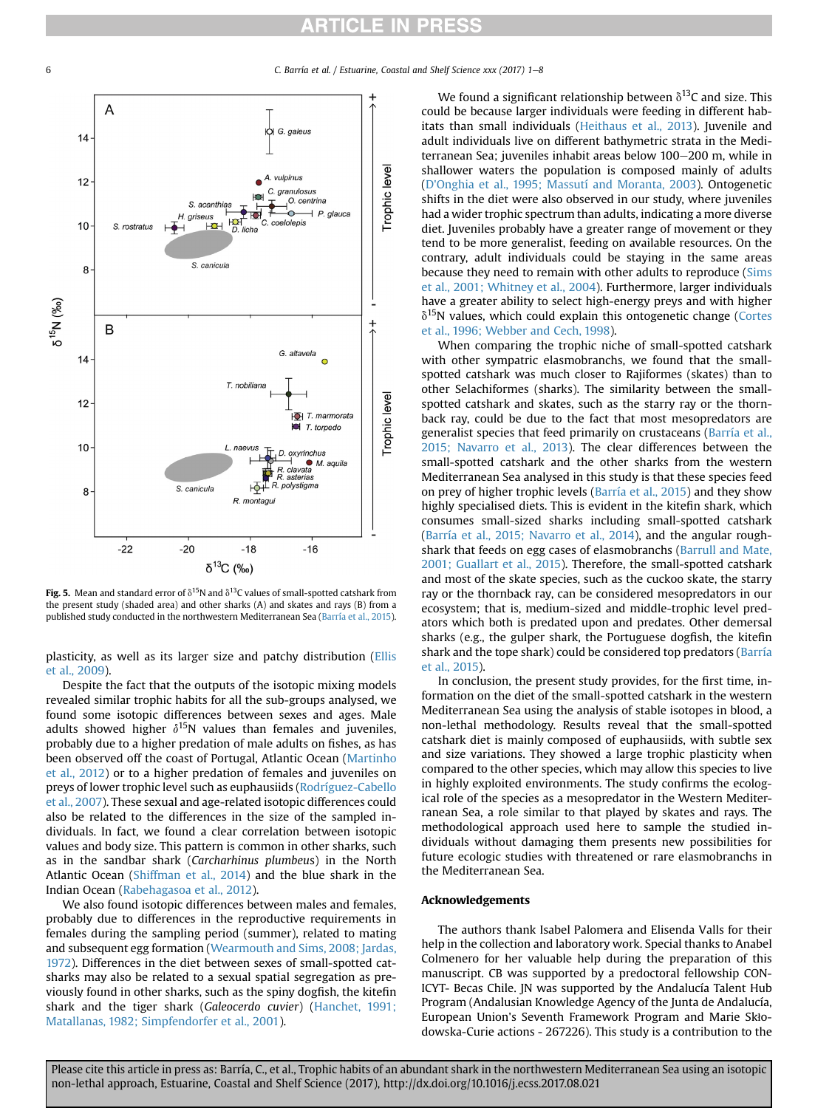<span id="page-5-0"></span>6 C. Barría et al. / Estuarine, Coastal and Shelf Science xxx (2017) 1e8



Fig. 5. Mean and standard error of  $\delta^{15}N$  and  $\delta^{13}C$  values of small-spotted catshark from the present study (shaded area) and other sharks (A) and skates and rays (B) from a published study conducted in the northwestern Mediterranean Sea [\(Barría et al., 2015](#page-6-0)).

plasticity, as well as its larger size and patchy distribution [\(Ellis](#page-6-0) [et al., 2009\)](#page-6-0).

Despite the fact that the outputs of the isotopic mixing models revealed similar trophic habits for all the sub-groups analysed, we found some isotopic differences between sexes and ages. Male adults showed higher  $\delta^{15}N$  values than females and juveniles, probably due to a higher predation of male adults on fishes, as has been observed off the coast of Portugal, Atlantic Ocean ([Martinho](#page-6-0) [et al., 2012](#page-6-0)) or to a higher predation of females and juveniles on preys of lower trophic level such as euphausiids ([Rodríguez-Cabello](#page-6-0) [et al., 2007](#page-6-0)). These sexual and age-related isotopic differences could also be related to the differences in the size of the sampled individuals. In fact, we found a clear correlation between isotopic values and body size. This pattern is common in other sharks, such as in the sandbar shark (Carcharhinus plumbeus) in the North Atlantic Ocean ([Shiffman et al., 2014](#page-7-0)) and the blue shark in the Indian Ocean [\(Rabehagasoa et al., 2012\)](#page-6-0).

We also found isotopic differences between males and females, probably due to differences in the reproductive requirements in females during the sampling period (summer), related to mating and subsequent egg formation ([Wearmouth and Sims, 2008; Jardas,](#page-7-0) [1972\)](#page-7-0). Differences in the diet between sexes of small-spotted catsharks may also be related to a sexual spatial segregation as previously found in other sharks, such as the spiny dogfish, the kitefin shark and the tiger shark (Galeocerdo cuvier) ([Hanchet, 1991;](#page-6-0) [Matallanas, 1982; Simpfendorfer et al., 2001](#page-6-0)).

We found a significant relationship between  $\delta^{13}$ C and size. This could be because larger individuals were feeding in different habitats than small individuals [\(Heithaus et al., 2013](#page-6-0)). Juvenile and adult individuals live on different bathymetric strata in the Mediterranean Sea; juveniles inhabit areas below 100-200 m, while in shallower waters the population is composed mainly of adults ([D'Onghia et al., 1995; Massutí and Moranta, 2003\)](#page-6-0). Ontogenetic shifts in the diet were also observed in our study, where juveniles had a wider trophic spectrum than adults, indicating a more diverse diet. Juveniles probably have a greater range of movement or they tend to be more generalist, feeding on available resources. On the contrary, adult individuals could be staying in the same areas because they need to remain with other adults to reproduce ([Sims](#page-7-0) [et al., 2001; Whitney et al., 2004\)](#page-7-0). Furthermore, larger individuals have a greater ability to select high-energy preys and with higher  $\delta^{15}$ N values, which could explain this ontogenetic change [\(Cortes](#page-6-0) [et al., 1996; Webber and Cech, 1998\)](#page-6-0).

When comparing the trophic niche of small-spotted catshark with other sympatric elasmobranchs, we found that the smallspotted catshark was much closer to Rajiformes (skates) than to other Selachiformes (sharks). The similarity between the smallspotted catshark and skates, such as the starry ray or the thornback ray, could be due to the fact that most mesopredators are generalist species that feed primarily on crustaceans [\(Barría et al.,](#page-6-0) [2015; Navarro et al., 2013\)](#page-6-0). The clear differences between the small-spotted catshark and the other sharks from the western Mediterranean Sea analysed in this study is that these species feed on prey of higher trophic levels [\(Barría et al., 2015\)](#page-6-0) and they show highly specialised diets. This is evident in the kitefin shark, which consumes small-sized sharks including small-spotted catshark ([Barría et al., 2015; Navarro et al., 2014](#page-6-0)), and the angular roughshark that feeds on egg cases of elasmobranchs [\(Barrull and Mate,](#page-6-0) [2001; Guallart et al., 2015\)](#page-6-0). Therefore, the small-spotted catshark and most of the skate species, such as the cuckoo skate, the starry ray or the thornback ray, can be considered mesopredators in our ecosystem; that is, medium-sized and middle-trophic level predators which both is predated upon and predates. Other demersal sharks (e.g., the gulper shark, the Portuguese dogfish, the kitefin shark and the tope shark) could be considered top predators [\(Barría](#page-6-0) [et al., 2015\)](#page-6-0).

In conclusion, the present study provides, for the first time, information on the diet of the small-spotted catshark in the western Mediterranean Sea using the analysis of stable isotopes in blood, a non-lethal methodology. Results reveal that the small-spotted catshark diet is mainly composed of euphausiids, with subtle sex and size variations. They showed a large trophic plasticity when compared to the other species, which may allow this species to live in highly exploited environments. The study confirms the ecological role of the species as a mesopredator in the Western Mediterranean Sea, a role similar to that played by skates and rays. The methodological approach used here to sample the studied individuals without damaging them presents new possibilities for future ecologic studies with threatened or rare elasmobranchs in the Mediterranean Sea.

## Acknowledgements

The authors thank Isabel Palomera and Elisenda Valls for their help in the collection and laboratory work. Special thanks to Anabel Colmenero for her valuable help during the preparation of this manuscript. CB was supported by a predoctoral fellowship CON-ICYT- Becas Chile. JN was supported by the Andalucía Talent Hub Program (Andalusian Knowledge Agency of the Junta de Andalucía, European Union's Seventh Framework Program and Marie Skłodowska-Curie actions - 267226). This study is a contribution to the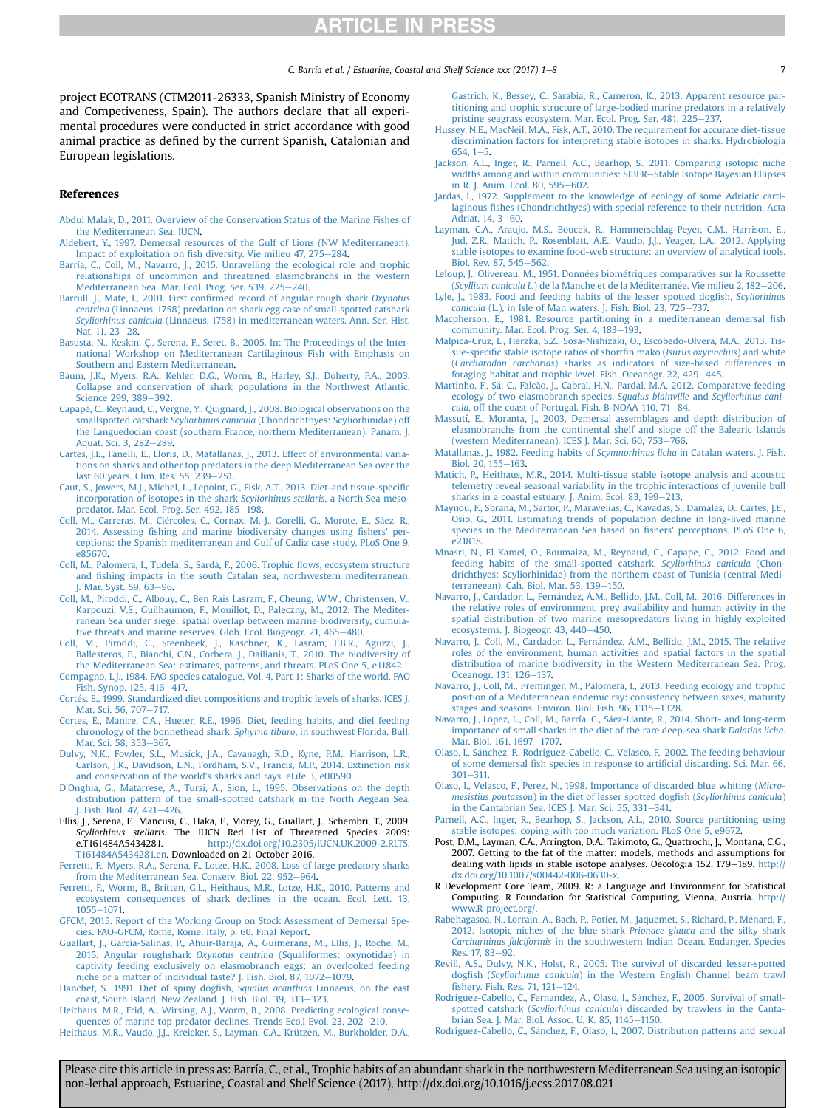<span id="page-6-0"></span>project ECOTRANS (CTM2011-26333, Spanish Ministry of Economy and Competiveness, Spain). The authors declare that all experimental procedures were conducted in strict accordance with good animal practice as defined by the current Spanish, Catalonian and European legislations.

### References

- [Abdul Malak, D., 2011. Overview of the Conservation Status of the Marine Fishes of](http://refhub.elsevier.com/S0272-7714(16)30583-2/sref1) [the Mediterranean Sea. IUCN](http://refhub.elsevier.com/S0272-7714(16)30583-2/sref1).
- [Aldebert, Y., 1997. Demersal resources of the Gulf of Lions \(NW Mediterranean\).](http://refhub.elsevier.com/S0272-7714(16)30583-2/sref2) Impact of exploitation on fi[sh diversity. Vie milieu 47, 275](http://refhub.elsevier.com/S0272-7714(16)30583-2/sref2)-[284.](http://refhub.elsevier.com/S0272-7714(16)30583-2/sref2)
- [Barría, C., Coll, M., Navarro, J., 2015. Unravelling the ecological role and trophic](http://refhub.elsevier.com/S0272-7714(16)30583-2/sref3) [relationships of uncommon and threatened elasmobranchs in the western](http://refhub.elsevier.com/S0272-7714(16)30583-2/sref3) [Mediterranean Sea. Mar. Ecol. Prog. Ser. 539, 225](http://refhub.elsevier.com/S0272-7714(16)30583-2/sref3)-[240](http://refhub.elsevier.com/S0272-7714(16)30583-2/sref3).
- Barrull, J., Mate, I., 2001. First confi[rmed record of angular rough shark](http://refhub.elsevier.com/S0272-7714(16)30583-2/sref4) Oxynotus centrina [\(Linnaeus, 1758\) predation on shark egg case of small-spotted catshark](http://refhub.elsevier.com/S0272-7714(16)30583-2/sref4) Scyliorhinus canicula [\(Linnaeus, 1758\) in mediterranean waters. Ann. Ser. Hist.](http://refhub.elsevier.com/S0272-7714(16)30583-2/sref4) [Nat. 11, 23](http://refhub.elsevier.com/S0272-7714(16)30583-2/sref4)-[28.](http://refhub.elsevier.com/S0272-7714(16)30583-2/sref4)
- [Basusta, N., Keskin, Ç., Serena, F., Seret, B., 2005. In: The Proceedings of the Inter](http://refhub.elsevier.com/S0272-7714(16)30583-2/sref5)[national Workshop on Mediterranean Cartilaginous Fish with Emphasis on](http://refhub.elsevier.com/S0272-7714(16)30583-2/sref5) [Southern and Eastern Mediterranean](http://refhub.elsevier.com/S0272-7714(16)30583-2/sref5).
- [Baum, J.K., Myers, R.A., Kehler, D.G., Worm, B., Harley, S.J., Doherty, P.A., 2003.](http://refhub.elsevier.com/S0272-7714(16)30583-2/sref6) [Collapse and conservation of shark populations in the Northwest Atlantic.](http://refhub.elsevier.com/S0272-7714(16)30583-2/sref6) [Science 299, 389](http://refhub.elsevier.com/S0272-7714(16)30583-2/sref6)-[392](http://refhub.elsevier.com/S0272-7714(16)30583-2/sref6).
- [Capap](http://refhub.elsevier.com/S0272-7714(16)30583-2/sref7)e[, C., Reynaud, C., Vergne, Y., Quignard, J., 2008. Biological observations on the](http://refhub.elsevier.com/S0272-7714(16)30583-2/sref7) smallspotted catshark Scyliorhinus canicula [\(Chondrichthyes: Scyliorhinidae\) off](http://refhub.elsevier.com/S0272-7714(16)30583-2/sref7) [the Languedocian coast \(southern France, northern Mediterranean\). Panam. J.](http://refhub.elsevier.com/S0272-7714(16)30583-2/sref7) [Aquat. Sci. 3, 282](http://refhub.elsevier.com/S0272-7714(16)30583-2/sref7)-[289](http://refhub.elsevier.com/S0272-7714(16)30583-2/sref7).
- [Cartes, J.E., Fanelli, E., Lloris, D., Matallanas, J., 2013. Effect of environmental varia](http://refhub.elsevier.com/S0272-7714(16)30583-2/sref8)[tions on sharks and other top predators in the deep Mediterranean Sea over the](http://refhub.elsevier.com/S0272-7714(16)30583-2/sref8) [last 60 years. Clim. Res. 55, 239](http://refhub.elsevier.com/S0272-7714(16)30583-2/sref8)-[251.](http://refhub.elsevier.com/S0272-7714(16)30583-2/sref8)
- [Caut, S., Jowers, M.J., Michel, L., Lepoint, G., Fisk, A.T., 2013. Diet-and tissue-speci](http://refhub.elsevier.com/S0272-7714(16)30583-2/sref9)fic [incorporation of isotopes in the shark](http://refhub.elsevier.com/S0272-7714(16)30583-2/sref9) Scyliorhinus stellaris, a North Sea meso[predator. Mar. Ecol. Prog. Ser. 492, 185](http://refhub.elsevier.com/S0272-7714(16)30583-2/sref9)-[198](http://refhub.elsevier.com/S0272-7714(16)30583-2/sref9).
- Coll, M., Carreras, M., Ciércoles, C., Cornax, M.-J., Gorelli, G., Morote, E., Sáez, R., 2014. Assessing fi[shing and marine biodiversity changes using](http://refhub.elsevier.com/S0272-7714(16)30583-2/sref10) fishers' per[ceptions: the Spanish mediterranean and Gulf of Cadiz case study. PLoS One 9,](http://refhub.elsevier.com/S0272-7714(16)30583-2/sref10) [e85670.](http://refhub.elsevier.com/S0272-7714(16)30583-2/sref10)
- [Coll, M., Palomera, I., Tudela, S., Sarda](http://refhub.elsevier.com/S0272-7714(16)30583-2/sref11), F., 2006. Trophic fl[ows, ecosystem structure](http://refhub.elsevier.com/S0272-7714(16)30583-2/sref11) and fi[shing impacts in the south Catalan sea, northwestern mediterranean.](http://refhub.elsevier.com/S0272-7714(16)30583-2/sref11) J. Mar. Syst.  $59, 63 - 96$  $59, 63 - 96$ .
- [Coll, M., Piroddi, C., Albouy, C., Ben Rais Lasram, F., Cheung, W.W., Christensen, V.,](http://refhub.elsevier.com/S0272-7714(16)30583-2/sref12) [Karpouzi, V.S., Guilhaumon, F., Mouillot, D., Paleczny, M., 2012. The Mediter](http://refhub.elsevier.com/S0272-7714(16)30583-2/sref12)[ranean Sea under siege: spatial overlap between marine biodiversity, cumula](http://refhub.elsevier.com/S0272-7714(16)30583-2/sref12)[tive threats and marine reserves. Glob. Ecol. Biogeogr. 21, 465](http://refhub.elsevier.com/S0272-7714(16)30583-2/sref12)-[480.](http://refhub.elsevier.com/S0272-7714(16)30583-2/sref12)
- [Coll, M., Piroddi, C., Steenbeek, J., Kaschner, K., Lasram, F.B.R., Aguzzi, J.,](http://refhub.elsevier.com/S0272-7714(16)30583-2/sref13) [Ballesteros, E., Bianchi, C.N., Corbera, J., Dailianis, T., 2010. The biodiversity of](http://refhub.elsevier.com/S0272-7714(16)30583-2/sref13) [the Mediterranean Sea: estimates, patterns, and threats. PLoS One 5, e11842.](http://refhub.elsevier.com/S0272-7714(16)30583-2/sref13)
- [Compagno, L.J., 1984. FAO species catalogue, Vol. 4, Part 1; Sharks of the world. FAO](http://refhub.elsevier.com/S0272-7714(16)30583-2/sref14)
- [Fish. Synop. 125, 416](http://refhub.elsevier.com/S0272-7714(16)30583-2/sref14)–[417.](http://refhub.elsevier.com/S0272-7714(16)30583-2/sref14)<br>[Cort](http://refhub.elsevier.com/S0272-7714(16)30583-2/sref15)é[s, E., 1999. Standardized diet compositions and trophic levels of sharks. ICES J.](http://refhub.elsevier.com/S0272-7714(16)30583-2/sref15) [Mar. Sci. 56, 707](http://refhub.elsevier.com/S0272-7714(16)30583-2/sref15)-[717.](http://refhub.elsevier.com/S0272-7714(16)30583-2/sref15)
- [Cortes, E., Manire, C.A., Hueter, R.E., 1996. Diet, feeding habits, and diel feeding](http://refhub.elsevier.com/S0272-7714(16)30583-2/sref16) [chronology of the bonnethead shark,](http://refhub.elsevier.com/S0272-7714(16)30583-2/sref16) Sphyrna tiburo, in southwest Florida. Bull. [Mar. Sci. 58, 353](http://refhub.elsevier.com/S0272-7714(16)30583-2/sref16)-[367.](http://refhub.elsevier.com/S0272-7714(16)30583-2/sref16)
- [Dulvy, N.K., Fowler, S.L., Musick, J.A., Cavanagh, R.D., Kyne, P.M., Harrison, L.R.,](http://refhub.elsevier.com/S0272-7714(16)30583-2/sref64) [Carlson, J.K., Davidson, L.N., Fordham, S.V., Francis, M.P., 2014. Extinction risk](http://refhub.elsevier.com/S0272-7714(16)30583-2/sref64) [and conservation of the world's sharks and rays. eLife 3, e00590.](http://refhub.elsevier.com/S0272-7714(16)30583-2/sref64)
- [D'Onghia, G., Matarrese, A., Tursi, A., Sion, L., 1995. Observations on the depth](http://refhub.elsevier.com/S0272-7714(16)30583-2/sref17) [distribution pattern of the small-spotted catshark in the North Aegean Sea.](http://refhub.elsevier.com/S0272-7714(16)30583-2/sref17) J. Fish. Biol.  $47, 421-426$ .
- Ellis, J., Serena, F., Mancusi, C., Haka, F., Morey, G., Guallart, J., Schembri, T., 2009. Scyliorhinus stellaris. The IUCN Red List of Threatened Species 2009: e.T161484A5434281. [http://dx.doi.org/10.2305/IUCN.UK.2009-2.RLTS.](http://dx.doi.org/10.2305/IUCN.UK.2009-2.RLTS.T161484A5434281.en) [T161484A5434281.en](http://dx.doi.org/10.2305/IUCN.UK.2009-2.RLTS.T161484A5434281.en). Downloaded on 21 October 2016.
- [Ferretti, F., Myers, R.A., Serena, F., Lotze, H.K., 2008. Loss of large predatory sharks](http://refhub.elsevier.com/S0272-7714(16)30583-2/sref19) [from the Mediterranean Sea. Conserv. Biol. 22, 952](http://refhub.elsevier.com/S0272-7714(16)30583-2/sref19)-[964](http://refhub.elsevier.com/S0272-7714(16)30583-2/sref19).
- [Ferretti, F., Worm, B., Britten, G.L., Heithaus, M.R., Lotze, H.K., 2010. Patterns and](http://refhub.elsevier.com/S0272-7714(16)30583-2/sref20) [ecosystem consequences of shark declines in the ocean. Ecol. Lett. 13,](http://refhub.elsevier.com/S0272-7714(16)30583-2/sref20) [1055](http://refhub.elsevier.com/S0272-7714(16)30583-2/sref20)-1071
- [GFCM, 2015. Report of the Working Group on Stock Assessment of Demersal Spe](http://refhub.elsevier.com/S0272-7714(16)30583-2/sref21)[cies. FAO-GFCM, Rome, Rome, Italy, p. 60. Final Report](http://refhub.elsevier.com/S0272-7714(16)30583-2/sref21).
- [Guallart, J., García-Salinas, P., Ahuir-Baraja, A., Guimerans, M., Ellis, J., Roche, M.,](http://refhub.elsevier.com/S0272-7714(16)30583-2/sref22) 2015. Angular roughshark Oxynotus centrina [\(Squaliformes: oxynotidae\) in](http://refhub.elsevier.com/S0272-7714(16)30583-2/sref22) [captivity feeding exclusively on elasmobranch eggs: an overlooked feeding](http://refhub.elsevier.com/S0272-7714(16)30583-2/sref22) [niche or a matter of individual taste? J. Fish. Biol. 87, 1072](http://refhub.elsevier.com/S0272-7714(16)30583-2/sref22)-[1079.](http://refhub.elsevier.com/S0272-7714(16)30583-2/sref22)
- [Hanchet, S., 1991. Diet of spiny dog](http://refhub.elsevier.com/S0272-7714(16)30583-2/sref23)fish, Squalus acanthias Linnaeus, on the east [coast, South Island, New Zealand. J. Fish. Biol. 39, 313](http://refhub.elsevier.com/S0272-7714(16)30583-2/sref23)-[323](http://refhub.elsevier.com/S0272-7714(16)30583-2/sref23).
- [Heithaus, M.R., Frid, A., Wirsing, A.J., Worm, B., 2008. Predicting ecological conse](http://refhub.elsevier.com/S0272-7714(16)30583-2/sref24)[quences of marine top predator declines. Trends Eco.l Evol. 23, 202](http://refhub.elsevier.com/S0272-7714(16)30583-2/sref24)-[210.](http://refhub.elsevier.com/S0272-7714(16)30583-2/sref24)

[Heithaus, M.R., Vaudo, J.J., Kreicker, S., Layman, C.A., Krützen, M., Burkholder, D.A.,](http://refhub.elsevier.com/S0272-7714(16)30583-2/sref25)

[Gastrich, K., Bessey, C., Sarabia, R., Cameron, K., 2013. Apparent resource par](http://refhub.elsevier.com/S0272-7714(16)30583-2/sref25)[titioning and trophic structure of large-bodied marine predators in a relatively](http://refhub.elsevier.com/S0272-7714(16)30583-2/sref25) [pristine seagrass ecosystem. Mar. Ecol. Prog. Ser. 481, 225](http://refhub.elsevier.com/S0272-7714(16)30583-2/sref25)-[237.](http://refhub.elsevier.com/S0272-7714(16)30583-2/sref25)

- [Hussey, N.E., MacNeil, M.A., Fisk, A.T., 2010. The requirement for accurate diet-tissue](http://refhub.elsevier.com/S0272-7714(16)30583-2/sref26) [discrimination factors for interpreting stable isotopes in sharks. Hydrobiologia](http://refhub.elsevier.com/S0272-7714(16)30583-2/sref26) 6[5](http://refhub.elsevier.com/S0272-7714(16)30583-2/sref26)4,  $1-5$ .
- [Jackson, A.L., Inger, R., Parnell, A.C., Bearhop, S., 2011. Comparing isotopic niche](http://refhub.elsevier.com/S0272-7714(16)30583-2/sref27) [widths among and within communities: SIBER](http://refhub.elsevier.com/S0272-7714(16)30583-2/sref27)-[Stable Isotope Bayesian Ellipses](http://refhub.elsevier.com/S0272-7714(16)30583-2/sref27) [in R. J. Anim. Ecol. 80, 595](http://refhub.elsevier.com/S0272-7714(16)30583-2/sref27) $-602$ .
- [Jardas, I., 1972. Supplement to the knowledge of ecology of some Adriatic carti](http://refhub.elsevier.com/S0272-7714(16)30583-2/sref28)laginous fi[shes \(Chondrichthyes\) with special reference to their nutrition. Acta](http://refhub.elsevier.com/S0272-7714(16)30583-2/sref28) [Adriat. 14, 3](http://refhub.elsevier.com/S0272-7714(16)30583-2/sref28)-[60.](http://refhub.elsevier.com/S0272-7714(16)30583-2/sref28)
- [Layman, C.A., Araujo, M.S., Boucek, R., Hammerschlag-Peyer, C.M., Harrison, E.,](http://refhub.elsevier.com/S0272-7714(16)30583-2/sref29) [Jud, Z.R., Matich, P., Rosenblatt, A.E., Vaudo, J.J., Yeager, L.A., 2012. Applying](http://refhub.elsevier.com/S0272-7714(16)30583-2/sref29) [stable isotopes to examine food-web structure: an overview of analytical tools.](http://refhub.elsevier.com/S0272-7714(16)30583-2/sref29) [Biol. Rev. 87, 545](http://refhub.elsevier.com/S0272-7714(16)30583-2/sref29)-[562.](http://refhub.elsevier.com/S0272-7714(16)30583-2/sref29)
- Leloup, J., Olivereau, M., 1951. Données biomé[triques comparatives sur la Roussette](http://refhub.elsevier.com/S0272-7714(16)30583-2/sref30) (Scyllium canicula L.[\) de la Manche et de la M](http://refhub.elsevier.com/S0272-7714(16)30583-2/sref30)é[diterran](http://refhub.elsevier.com/S0272-7714(16)30583-2/sref30)é[e. Vie milieu 2, 182](http://refhub.elsevier.com/S0272-7714(16)30583-2/sref30)-[206](http://refhub.elsevier.com/S0272-7714(16)30583-2/sref30). [Lyle, J., 1983. Food and feeding habits of the lesser spotted dog](http://refhub.elsevier.com/S0272-7714(16)30583-2/sref31)fish, Scyliorhinus
- $canicula$  [\(L.\), in Isle of Man waters. J. Fish. Biol. 23, 725](http://refhub.elsevier.com/S0272-7714(16)30583-2/sref31)-[737.](http://refhub.elsevier.com/S0272-7714(16)30583-2/sref31) [Macpherson, E., 1981. Resource partitioning in a mediterranean demersal](http://refhub.elsevier.com/S0272-7714(16)30583-2/sref32) fish
- [community. Mar. Ecol. Prog. Ser. 4, 183](http://refhub.elsevier.com/S0272-7714(16)30583-2/sref32)-[193.](http://refhub.elsevier.com/S0272-7714(16)30583-2/sref32) [Malpica-Cruz, L., Herzka, S.Z., Sosa-Nishizaki, O., Escobedo-Olvera, M.A., 2013. Tis](http://refhub.elsevier.com/S0272-7714(16)30583-2/sref33)sue-specifi[c stable isotope ratios of short](http://refhub.elsevier.com/S0272-7714(16)30583-2/sref33)fin mako (Isurus oxyrinchus) and white (Carcharodon carcharias[\) sharks as indicators of size-based differences in](http://refhub.elsevier.com/S0272-7714(16)30583-2/sref33) [foraging habitat and trophic level. Fish. Oceanogr. 22, 429](http://refhub.elsevier.com/S0272-7714(16)30583-2/sref33)-[445.](http://refhub.elsevier.com/S0272-7714(16)30583-2/sref33)
- Martinho, F., Sá, C., Falcão, J., Cabral, H.N., Pardal, M.Â[, 2012. Comparative feeding](http://refhub.elsevier.com/S0272-7714(16)30583-2/sref34) [ecology of two elasmobranch species,](http://refhub.elsevier.com/S0272-7714(16)30583-2/sref34) Squalus blainville and Scyliorhinus cani-cula[, off the coast of Portugal. Fish. B-NOAA 110, 71](http://refhub.elsevier.com/S0272-7714(16)30583-2/sref34)-[84.](http://refhub.elsevier.com/S0272-7714(16)30583-2/sref34)
- [Massutí, E., Moranta, J., 2003. Demersal assemblages and depth distribution of](http://refhub.elsevier.com/S0272-7714(16)30583-2/sref35) [elasmobranchs from the continental shelf and slope off the Balearic Islands](http://refhub.elsevier.com/S0272-7714(16)30583-2/sref35) [\(western Mediterranean\). ICES J. Mar. Sci. 60, 753](http://refhub.elsevier.com/S0272-7714(16)30583-2/sref35)-[766](http://refhub.elsevier.com/S0272-7714(16)30583-2/sref35).
- [Matallanas, J., 1982. Feeding habits of](http://refhub.elsevier.com/S0272-7714(16)30583-2/sref36) Scymnorhinus licha in Catalan waters. J. Fish. [Biol. 20, 155](http://refhub.elsevier.com/S0272-7714(16)30583-2/sref36)-[163](http://refhub.elsevier.com/S0272-7714(16)30583-2/sref36).
- [Matich, P., Heithaus, M.R., 2014. Multi-tissue stable isotope analysis and acoustic](http://refhub.elsevier.com/S0272-7714(16)30583-2/sref37) [telemetry reveal seasonal variability in the trophic interactions of juvenile bull](http://refhub.elsevier.com/S0272-7714(16)30583-2/sref37) [sharks in a coastal estuary. J. Anim. Ecol. 83, 199](http://refhub.elsevier.com/S0272-7714(16)30583-2/sref37)-[213](http://refhub.elsevier.com/S0272-7714(16)30583-2/sref37).
- [Maynou, F., Sbrana, M., Sartor, P., Maravelias, C., Kavadas, S., Damalas, D., Cartes, J.E.,](http://refhub.elsevier.com/S0272-7714(16)30583-2/sref38) [Osio, G., 2011. Estimating trends of population decline in long-lived marine](http://refhub.elsevier.com/S0272-7714(16)30583-2/sref38) [species in the Mediterranean Sea based on](http://refhub.elsevier.com/S0272-7714(16)30583-2/sref38) fishers' perceptions. PLoS One 6, [e21818.](http://refhub.elsevier.com/S0272-7714(16)30583-2/sref38)
- [Mnasri, N., El Kamel, O., Boumaiza, M., Reynaud, C., Capape, C., 2012. Food and](http://refhub.elsevier.com/S0272-7714(16)30583-2/sref39) [feeding habits of the small-spotted catshark,](http://refhub.elsevier.com/S0272-7714(16)30583-2/sref39) Scyliorhinus canicula (Chon[drichthyes: Scyliorhinidae\) from the northern coast of Tunisia \(central Medi](http://refhub.elsevier.com/S0272-7714(16)30583-2/sref39)[terraneean\). Cah. Biol. Mar. 53, 139](http://refhub.elsevier.com/S0272-7714(16)30583-2/sref39)-[150.](http://refhub.elsevier.com/S0272-7714(16)30583-2/sref39)
- [Navarro, J., Cardador, L., Fern](http://refhub.elsevier.com/S0272-7714(16)30583-2/sref40)á[ndez,](http://refhub.elsevier.com/S0272-7714(16)30583-2/sref40) Á.M., Bellido, J.M., Coll, M., 2016. Differences in [the relative roles of environment, prey availability and human activity in the](http://refhub.elsevier.com/S0272-7714(16)30583-2/sref40) [spatial distribution of two marine mesopredators living in highly exploited](http://refhub.elsevier.com/S0272-7714(16)30583-2/sref40) [ecosystems. J. Biogeogr. 43, 440](http://refhub.elsevier.com/S0272-7714(16)30583-2/sref40)-[450.](http://refhub.elsevier.com/S0272-7714(16)30583-2/sref40)
- Navarro, J., Coll, M., Cardador, L., Fernández, Á.M., Bellido, J.M., 2015. The relative [roles of the environment, human activities and spatial factors in the spatial](http://refhub.elsevier.com/S0272-7714(16)30583-2/sref41) [distribution of marine biodiversity in the Western Mediterranean Sea. Prog.](http://refhub.elsevier.com/S0272-7714(16)30583-2/sref41) [Oceanogr. 131, 126](http://refhub.elsevier.com/S0272-7714(16)30583-2/sref41)-[137.](http://refhub.elsevier.com/S0272-7714(16)30583-2/sref41)
- [Navarro, J., Coll, M., Preminger, M., Palomera, I., 2013. Feeding ecology and trophic](http://refhub.elsevier.com/S0272-7714(16)30583-2/sref42) [position of a Mediterranean endemic ray: consistency between sexes, maturity](http://refhub.elsevier.com/S0272-7714(16)30583-2/sref42) .<br>[stages and seasons. Environ. Biol. Fish. 96, 1315](http://refhub.elsevier.com/S0272-7714(16)30583-2/sref42)–[1328](http://refhub.elsevier.com/S0272-7714(16)30583-2/sref42).
- [Navarro, J., L](http://refhub.elsevier.com/S0272-7714(16)30583-2/sref43)ó[pez, L., Coll, M., Barría, C., S](http://refhub.elsevier.com/S0272-7714(16)30583-2/sref43)áez-Liante, R., 2014. Short- and long-term [importance of small sharks in the diet of the rare deep-sea shark](http://refhub.elsevier.com/S0272-7714(16)30583-2/sref43) Dalatias licha. [Mar. Biol. 161, 1697](http://refhub.elsevier.com/S0272-7714(16)30583-2/sref43)-[1707.](http://refhub.elsevier.com/S0272-7714(16)30583-2/sref43)
- [Olaso, I., S](http://refhub.elsevier.com/S0272-7714(16)30583-2/sref44) [anchez, F., Rodríguez-Cabello, C., Velasco, F., 2002. The feeding behaviour](http://refhub.elsevier.com/S0272-7714(16)30583-2/sref44) of some demersal fi[sh species in response to arti](http://refhub.elsevier.com/S0272-7714(16)30583-2/sref44)ficial discarding. Sci. Mar. 66,  $301 - 311$  $301 - 311$ .
- [Olaso, I., Velasco, F., Perez, N., 1998. Importance of discarded blue whiting \(](http://refhub.elsevier.com/S0272-7714(16)30583-2/sref45)Micromesistius poutassou[\) in the diet of lesser spotted dog](http://refhub.elsevier.com/S0272-7714(16)30583-2/sref45)fish (Scyliorhinus canicula) [in the Cantabrian Sea. ICES J. Mar. Sci. 55, 331](http://refhub.elsevier.com/S0272-7714(16)30583-2/sref45)-[341.](http://refhub.elsevier.com/S0272-7714(16)30583-2/sref45)
- [Parnell, A.C., Inger, R., Bearhop, S., Jackson, A.L., 2010. Source partitioning using](http://refhub.elsevier.com/S0272-7714(16)30583-2/sref46) [stable isotopes: coping with too much variation. PLoS One 5, e9672](http://refhub.elsevier.com/S0272-7714(16)30583-2/sref46).
- Post, D.M., Layman, C.A., Arrington, D.A., Takimoto, G., Quattrochi, J., Montaña, C.G., 2007. Getting to the fat of the matter: models, methods and assumptions for dealing with lipids in stable isotope analyses. Oecologia 152, 179-189. [http://](http://dx.doi.org/10.1007/s00442-006-0630-x) [dx.doi.org/10.1007/s00442-006-0630-x](http://dx.doi.org/10.1007/s00442-006-0630-x).
- R Development Core Team, 2009. R: a Language and Environment for Statistical Computing. R Foundation for Statistical Computing, Vienna, Austria. [http://](http://www.r-project.org/) [www.R-project.org/](http://www.r-project.org/).
- [Rabehagasoa, N., Lorrain, A., Bach, P., Potier, M., Jaquemet, S., Richard, P., Menard, F.,](http://refhub.elsevier.com/S0272-7714(16)30583-2/sref47) [2012. Isotopic niches of the blue shark](http://refhub.elsevier.com/S0272-7714(16)30583-2/sref47) Prionace glauca and the silky shark Carcharhinus falciformis [in the southwestern Indian Ocean. Endanger. Species](http://refhub.elsevier.com/S0272-7714(16)30583-2/sref47) [Res. 17, 83](http://refhub.elsevier.com/S0272-7714(16)30583-2/sref47)-[92](http://refhub.elsevier.com/S0272-7714(16)30583-2/sref47).
- [Revill, A.S., Dulvy, N.K., Holst, R., 2005. The survival of discarded lesser-spotted](http://refhub.elsevier.com/S0272-7714(16)30583-2/sref48) dogfish (Scyliorhinus canicula[\) in the Western English Channel beam trawl](http://refhub.elsevier.com/S0272-7714(16)30583-2/sref48) fishery. Fish. Res. 71,  $121-124$ .
- [Rodriguez-Cabello, C., Fernandez, A., Olaso, I., S](http://refhub.elsevier.com/S0272-7714(16)30583-2/sref49) a[nchez, F., 2005. Survival of small](http://refhub.elsevier.com/S0272-7714(16)30583-2/sref49)spotted catshark (Scyliorhinus canicula[\) discarded by trawlers in the Canta](http://refhub.elsevier.com/S0272-7714(16)30583-2/sref49)[brian Sea. J. Mar. Biol. Assoc. U. K. 85, 1145](http://refhub.elsevier.com/S0272-7714(16)30583-2/sref49)-[1150.](http://refhub.elsevier.com/S0272-7714(16)30583-2/sref49)
- [Rodríguez-Cabello, C., S](http://refhub.elsevier.com/S0272-7714(16)30583-2/sref50)á[nchez, F., Olaso, I., 2007. Distribution patterns and sexual](http://refhub.elsevier.com/S0272-7714(16)30583-2/sref50)